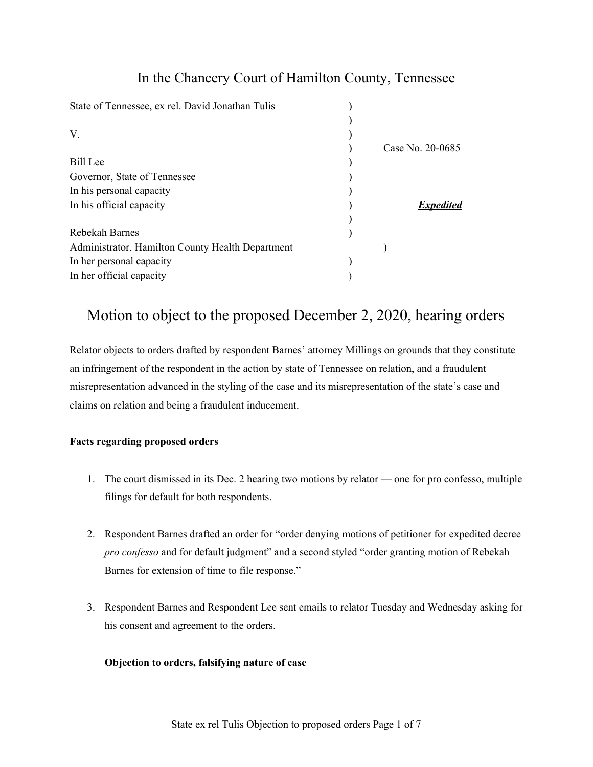## In the Chancery Court of Hamilton County, Tennessee

| State of Tennessee, ex rel. David Jonathan Tulis |                  |
|--------------------------------------------------|------------------|
|                                                  |                  |
| V.                                               |                  |
|                                                  | Case No. 20-0685 |
| <b>Bill</b> Lee                                  |                  |
| Governor, State of Tennessee                     |                  |
| In his personal capacity                         |                  |
| In his official capacity                         | <b>Expedited</b> |
|                                                  |                  |
| Rebekah Barnes                                   |                  |
| Administrator, Hamilton County Health Department |                  |
| In her personal capacity                         |                  |
| In her official capacity                         |                  |

# Motion to object to the proposed December 2, 2020, hearing orders

Relator objects to orders drafted by respondent Barnes' attorney Millings on grounds that they constitute an infringement of the respondent in the action by state of Tennessee on relation, and a fraudulent misrepresentation advanced in the styling of the case and its misrepresentation of the state's case and claims on relation and being a fraudulent inducement.

## **Facts regarding proposed orders**

- 1. The court dismissed in its Dec. 2 hearing two motions by relator one for pro confesso, multiple filings for default for both respondents.
- 2. Respondent Barnes drafted an order for "order denying motions of petitioner for expedited decree *pro confesso* and for default judgment" and a second styled "order granting motion of Rebekah Barnes for extension of time to file response."
- 3. Respondent Barnes and Respondent Lee sent emails to relator Tuesday and Wednesday asking for his consent and agreement to the orders.

## **Objection to orders, falsifying nature of case**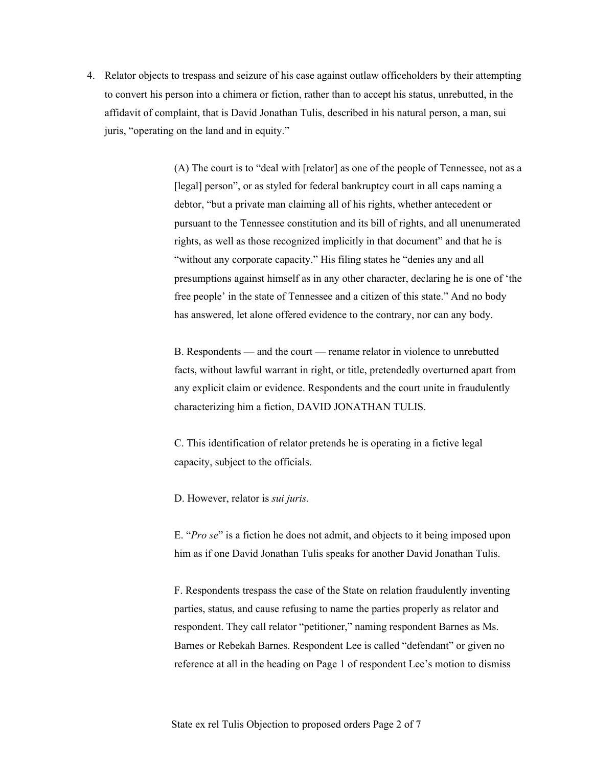4. Relator objects to trespass and seizure of his case against outlaw officeholders by their attempting to convert his person into a chimera or fiction, rather than to accept his status, unrebutted, in the affidavit of complaint, that is David Jonathan Tulis, described in his natural person, a man, sui juris, "operating on the land and in equity."

> (A) The court is to "deal with [relator] as one of the people of Tennessee, not as a [legal] person", or as styled for federal bankruptcy court in all caps naming a debtor, "but a private man claiming all of his rights, whether antecedent or pursuant to the Tennessee constitution and its bill of rights, and all unenumerated rights, as well as those recognized implicitly in that document" and that he is "without any corporate capacity." His filing states he "denies any and all presumptions against himself as in any other character, declaring he is one of 'the free people' in the state of Tennessee and a citizen of this state." And no body has answered, let alone offered evidence to the contrary, nor can any body.

B. Respondents — and the court — rename relator in violence to unrebutted facts, without lawful warrant in right, or title, pretendedly overturned apart from any explicit claim or evidence. Respondents and the court unite in fraudulently characterizing him a fiction, DAVID JONATHAN TULIS.

C. This identification of relator pretends he is operating in a fictive legal capacity, subject to the officials.

D. However, relator is *sui juris.*

E. "*Pro se*" is a fiction he does not admit, and objects to it being imposed upon him as if one David Jonathan Tulis speaks for another David Jonathan Tulis.

F. Respondents trespass the case of the State on relation fraudulently inventing parties, status, and cause refusing to name the parties properly as relator and respondent. They call relator "petitioner," naming respondent Barnes as Ms. Barnes or Rebekah Barnes. Respondent Lee is called "defendant" or given no reference at all in the heading on Page 1 of respondent Lee's motion to dismiss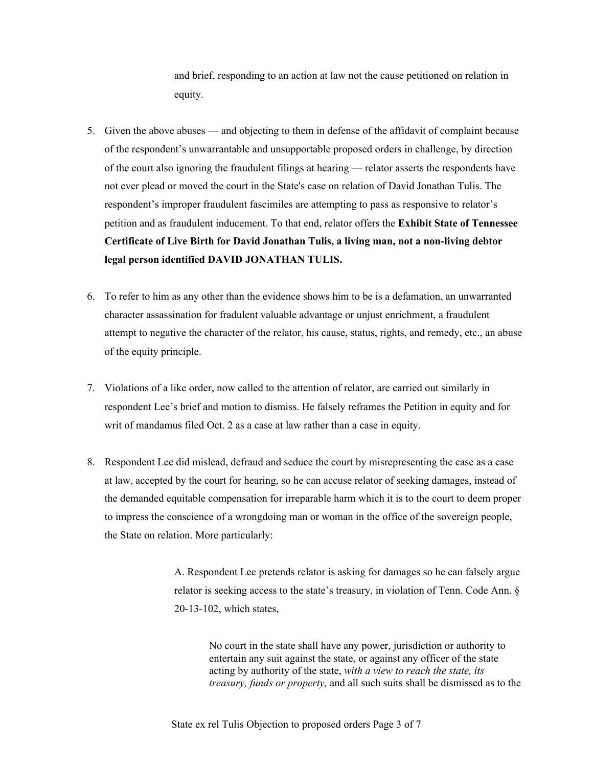and brief, responding to an action at law not the cause petitioned on relation in equity.

- 5. Given the above abuses and objecting to them in defense of the affidavit of complaint because of the respondent's unwarrantable and unsupportable proposed orders in challenge, by direction of the court also ignoring the fraudulent filings at hearing — relator asserts the respondents have not ever plead or moved the court in the State's case on relation of David Jonathan Tulis. The respondent's improper fraudulent fascimiles are attempting to pass as responsive to relator's petition and as fraudulent inducement. To that end, relator offers the **Exhibit State of Tennessee Certificate of Live Birth for David Jonathan Tulis, a living man, not a non-living debtor legal person identified DAVID JONATHAN TULIS.**
- 6. To refer to him as any other than the evidence shows him to be is a defamation, an unwarranted character assassination for fradulent valuable advantage or unjust enrichment, a fraudulent attempt to negative the character of the relator, his cause, status, rights, and remedy, etc., an abuse of the equity principle.
- 7. Violations of a like order, now called to the attention of relator, are carried out similarly in respondent Lee's brief and motion to dismiss. He falsely reframes the Petition in equity and for writ of mandamus filed Oct. 2 as a case at law rather than a case in equity.
- 8. Respondent Lee did mislead, defraud and seduce the court by misrepresenting the case as a case at law, accepted by the court for hearing, so he can accuse relator of seeking damages, instead of the demanded equitable compensation for irreparable harm which it is to the court to deem proper to impress the conscience of a wrongdoing man or woman in the office of the sovereign people, the State on relation. More particularly:

A. Respondent Lee pretends relator is asking for damages so he can falsely argue relator is seeking access to the state's treasury, in violation of Tenn. Code Ann. § 20-13-102, which states,

No court in the state shall have any power, jurisdiction or authority to entertain any suit against the state, or against any officer of the state acting by authority of the state, *with a view to reach the state, its treasury, funds or property,* and all such suits shall be dismissed as to the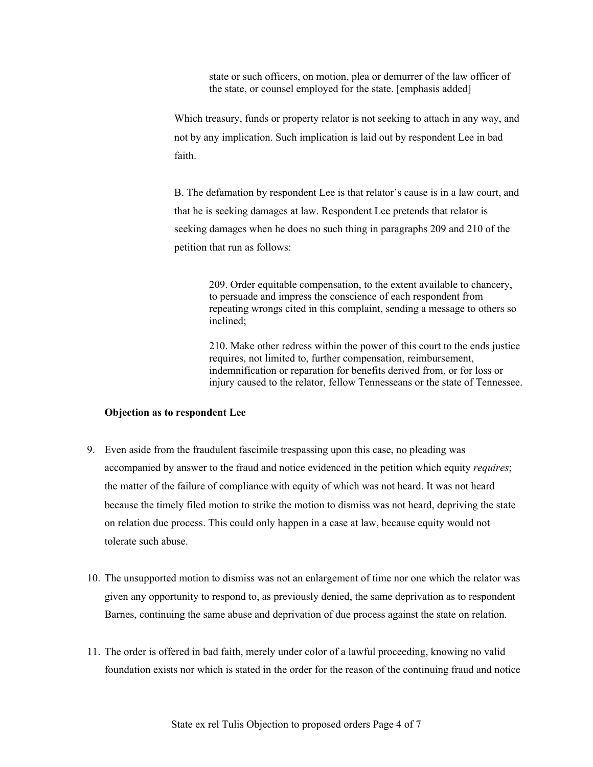state or such officers, on motion, plea or demurrer of the law officer of the state, or counsel employed for the state. [emphasis added]

Which treasury, funds or property relator is not seeking to attach in any way, and not by any implication. Such implication is laid out by respondent Lee in bad faith.

B. The defamation by respondent Lee is that relator's cause is in a law court, and that he is seeking damages at law. Respondent Lee pretends that relator is seeking damages when he does no such thing in paragraphs 209 and 210 of the petition that run as follows:

> 209. Order equitable compensation, to the extent available to chancery, to persuade and impress the conscience of each respondent from repeating wrongs cited in this complaint, sending a message to others so inclined;

210. Make other redress within the power of this court to the ends justice requires, not limited to, further compensation, reimbursement, indemnification or reparation for benefits derived from, or for loss or injury caused to the relator, fellow Tennesseans or the state of Tennessee.

#### **Objection as to respondent Lee**

- 9. Even aside from the fraudulent fascimile trespassing upon this case, no pleading was accompanied by answer to the fraud and notice evidenced in the petition which equity *requires*; the matter of the failure of compliance with equity of which was not heard. It was not heard because the timely filed motion to strike the motion to dismiss was not heard, depriving the state on relation due process. This could only happen in a case at law, because equity would not tolerate such abuse.
- 10. The unsupported motion to dismiss was not an enlargement of time nor one which the relator was given any opportunity to respond to, as previously denied, the same deprivation as to respondent Barnes, continuing the same abuse and deprivation of due process against the state on relation.
- 11. The order is offered in bad faith, merely under color of a lawful proceeding, knowing no valid foundation exists nor which is stated in the order for the reason of the continuing fraud and notice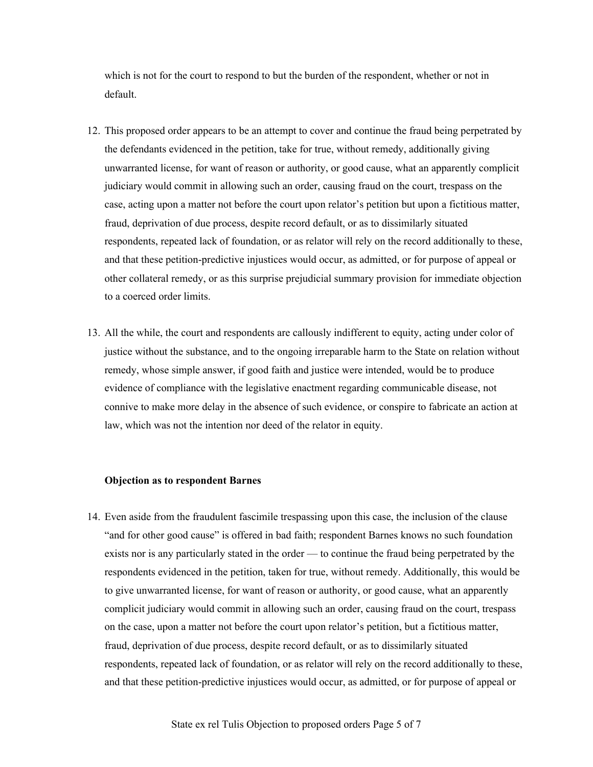which is not for the court to respond to but the burden of the respondent, whether or not in default.

- 12. This proposed order appears to be an attempt to cover and continue the fraud being perpetrated by the defendants evidenced in the petition, take for true, without remedy, additionally giving unwarranted license, for want of reason or authority, or good cause, what an apparently complicit judiciary would commit in allowing such an order, causing fraud on the court, trespass on the case, acting upon a matter not before the court upon relator's petition but upon a fictitious matter, fraud, deprivation of due process, despite record default, or as to dissimilarly situated respondents, repeated lack of foundation, or as relator will rely on the record additionally to these, and that these petition-predictive injustices would occur, as admitted, or for purpose of appeal or other collateral remedy, or as this surprise prejudicial summary provision for immediate objection to a coerced order limits.
- 13. All the while, the court and respondents are callously indifferent to equity, acting under color of justice without the substance, and to the ongoing irreparable harm to the State on relation without remedy, whose simple answer, if good faith and justice were intended, would be to produce evidence of compliance with the legislative enactment regarding communicable disease, not connive to make more delay in the absence of such evidence, or conspire to fabricate an action at law, which was not the intention nor deed of the relator in equity.

#### **Objection as to respondent Barnes**

14. Even aside from the fraudulent fascimile trespassing upon this case, the inclusion of the clause "and for other good cause" is offered in bad faith; respondent Barnes knows no such foundation exists nor is any particularly stated in the order — to continue the fraud being perpetrated by the respondents evidenced in the petition, taken for true, without remedy. Additionally, this would be to give unwarranted license, for want of reason or authority, or good cause, what an apparently complicit judiciary would commit in allowing such an order, causing fraud on the court, trespass on the case, upon a matter not before the court upon relator's petition, but a fictitious matter, fraud, deprivation of due process, despite record default, or as to dissimilarly situated respondents, repeated lack of foundation, or as relator will rely on the record additionally to these, and that these petition-predictive injustices would occur, as admitted, or for purpose of appeal or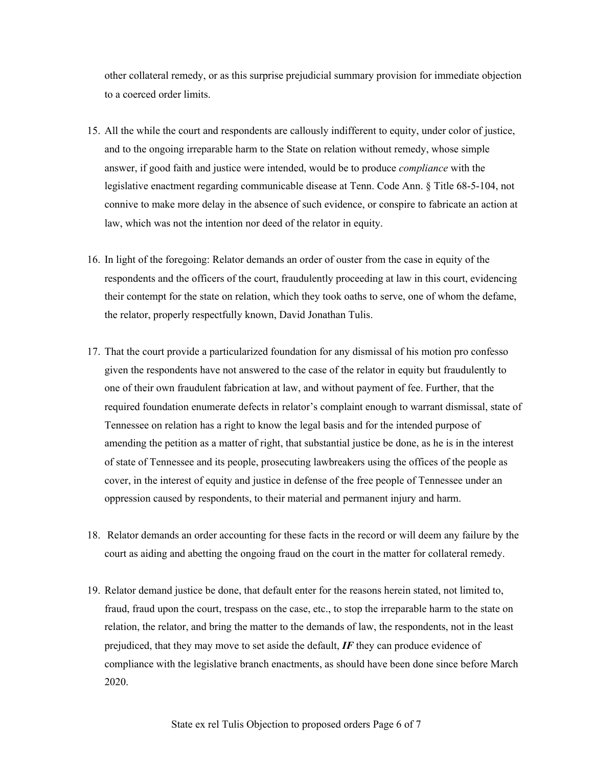other collateral remedy, or as this surprise prejudicial summary provision for immediate objection to a coerced order limits.

- 15. All the while the court and respondents are callously indifferent to equity, under color of justice, and to the ongoing irreparable harm to the State on relation without remedy, whose simple answer, if good faith and justice were intended, would be to produce *compliance* with the legislative enactment regarding communicable disease at Tenn. Code Ann. § Title 68-5-104, not connive to make more delay in the absence of such evidence, or conspire to fabricate an action at law, which was not the intention nor deed of the relator in equity.
- 16. In light of the foregoing: Relator demands an order of ouster from the case in equity of the respondents and the officers of the court, fraudulently proceeding at law in this court, evidencing their contempt for the state on relation, which they took oaths to serve, one of whom the defame, the relator, properly respectfully known, David Jonathan Tulis.
- 17. That the court provide a particularized foundation for any dismissal of his motion pro confesso given the respondents have not answered to the case of the relator in equity but fraudulently to one of their own fraudulent fabrication at law, and without payment of fee. Further, that the required foundation enumerate defects in relator's complaint enough to warrant dismissal, state of Tennessee on relation has a right to know the legal basis and for the intended purpose of amending the petition as a matter of right, that substantial justice be done, as he is in the interest of state of Tennessee and its people, prosecuting lawbreakers using the offices of the people as cover, in the interest of equity and justice in defense of the free people of Tennessee under an oppression caused by respondents, to their material and permanent injury and harm.
- 18. Relator demands an order accounting for these facts in the record or will deem any failure by the court as aiding and abetting the ongoing fraud on the court in the matter for collateral remedy.
- 19. Relator demand justice be done, that default enter for the reasons herein stated, not limited to, fraud, fraud upon the court, trespass on the case, etc., to stop the irreparable harm to the state on relation, the relator, and bring the matter to the demands of law, the respondents, not in the least prejudiced, that they may move to set aside the default, *IF* they can produce evidence of compliance with the legislative branch enactments, as should have been done since before March 2020.